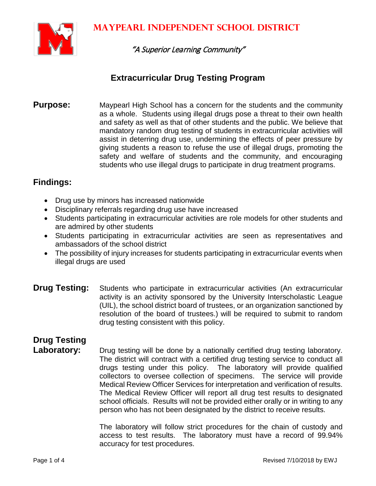

"A Superior Learning Community"

#### **Extracurricular Drug Testing Program**

**Purpose:** Maypearl High School has a concern for the students and the community as a whole. Students using illegal drugs pose a threat to their own health and safety as well as that of other students and the public. We believe that mandatory random drug testing of students in extracurricular activities will assist in deterring drug use, undermining the effects of peer pressure by giving students a reason to refuse the use of illegal drugs, promoting the safety and welfare of students and the community, and encouraging students who use illegal drugs to participate in drug treatment programs.

#### **Findings:**

- Drug use by minors has increased nationwide
- Disciplinary referrals regarding drug use have increased
- Students participating in extracurricular activities are role models for other students and are admired by other students
- Students participating in extracurricular activities are seen as representatives and ambassadors of the school district
- The possibility of injury increases for students participating in extracurricular events when illegal drugs are used
- **Drug Testing:** Students who participate in extracurricular activities (An extracurricular activity is an activity sponsored by the University Interscholastic League (UIL), the school district board of trustees, or an organization sanctioned by resolution of the board of trustees.) will be required to submit to random drug testing consistent with this policy.

## **Drug Testing**

Laboratory: Drug testing will be done by a nationally certified drug testing laboratory. The district will contract with a certified drug testing service to conduct all drugs testing under this policy. The laboratory will provide qualified collectors to oversee collection of specimens. The service will provide Medical Review Officer Services for interpretation and verification of results. The Medical Review Officer will report all drug test results to designated school officials. Results will not be provided either orally or in writing to any person who has not been designated by the district to receive results.

> The laboratory will follow strict procedures for the chain of custody and access to test results. The laboratory must have a record of 99.94% accuracy for test procedures.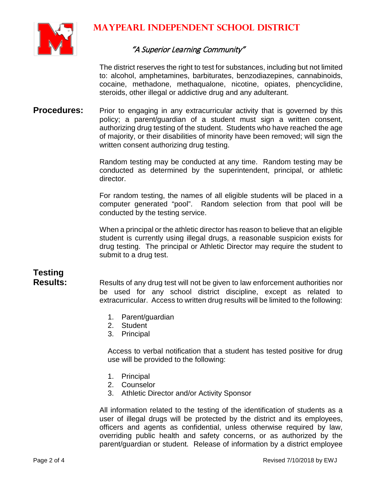

#### "A Superior Learning Community"

The district reserves the right to test for substances, including but not limited to: alcohol, amphetamines, barbiturates, benzodiazepines, cannabinoids, cocaine, methadone, methaqualone, nicotine, opiates, phencyclidine, steroids, other illegal or addictive drug and any adulterant.

**Procedures:** Prior to engaging in any extracurricular activity that is governed by this policy; a parent/guardian of a student must sign a written consent, authorizing drug testing of the student. Students who have reached the age of majority, or their disabilities of minority have been removed; will sign the written consent authorizing drug testing.

> Random testing may be conducted at any time. Random testing may be conducted as determined by the superintendent, principal, or athletic director.

> For random testing, the names of all eligible students will be placed in a computer generated "pool". Random selection from that pool will be conducted by the testing service.

> When a principal or the athletic director has reason to believe that an eligible student is currently using illegal drugs, a reasonable suspicion exists for drug testing. The principal or Athletic Director may require the student to submit to a drug test.

# **Testing**

Results of any drug test will not be given to law enforcement authorities nor be used for any school district discipline, except as related to extracurricular. Access to written drug results will be limited to the following:

- 1. Parent/guardian
- 2. Student
- 3. Principal

Access to verbal notification that a student has tested positive for drug use will be provided to the following:

- 1. Principal
- 2. Counselor
- 3. Athletic Director and/or Activity Sponsor

All information related to the testing of the identification of students as a user of illegal drugs will be protected by the district and its employees, officers and agents as confidential, unless otherwise required by law, overriding public health and safety concerns, or as authorized by the parent/guardian or student. Release of information by a district employee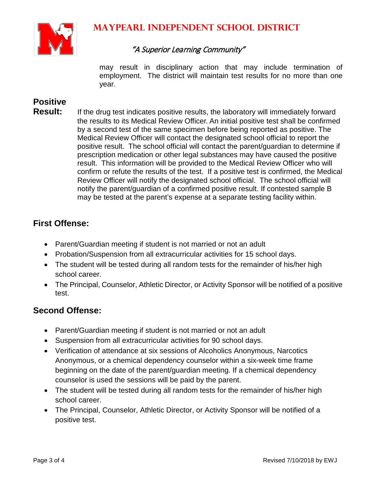

#### "A Superior Learning Community"

may result in disciplinary action that may include termination of employment. The district will maintain test results for no more than one year.

### **Positive**

**Result:** If the drug test indicates positive results, the laboratory will immediately forward the results to its Medical Review Officer. An initial positive test shall be confirmed by a second test of the same specimen before being reported as positive. The Medical Review Officer will contact the designated school official to report the positive result. The school official will contact the parent/guardian to determine if prescription medication or other legal substances may have caused the positive result. This information will be provided to the Medical Review Officer who will confirm or refute the results of the test. If a positive test is confirmed, the Medical Review Officer will notify the designated school official. The school official will notify the parent/guardian of a confirmed positive result. If contested sample B may be tested at the parent's expense at a separate testing facility within.

#### **First Offense:**

- Parent/Guardian meeting if student is not married or not an adult
- Probation/Suspension from all extracurricular activities for 15 school days.
- The student will be tested during all random tests for the remainder of his/her high school career.
- The Principal, Counselor, Athletic Director, or Activity Sponsor will be notified of a positive test.

#### **Second Offense:**

- Parent/Guardian meeting if student is not married or not an adult
- Suspension from all extracurricular activities for 90 school days.
- Verification of attendance at six sessions of Alcoholics Anonymous, Narcotics Anonymous, or a chemical dependency counselor within a six-week time frame beginning on the date of the parent/guardian meeting. If a chemical dependency counselor is used the sessions will be paid by the parent.
- The student will be tested during all random tests for the remainder of his/her high school career.
- The Principal, Counselor, Athletic Director, or Activity Sponsor will be notified of a positive test.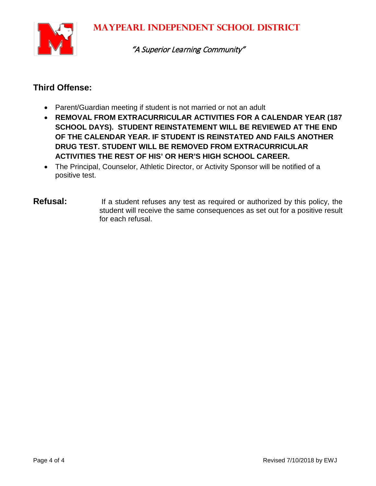

"A Superior Learning Community"

#### **Third Offense:**

- Parent/Guardian meeting if student is not married or not an adult
- **REMOVAL FROM EXTRACURRICULAR ACTIVITIES FOR A CALENDAR YEAR (187 SCHOOL DAYS). STUDENT REINSTATEMENT WILL BE REVIEWED AT THE END OF THE CALENDAR YEAR. IF STUDENT IS REINSTATED AND FAILS ANOTHER DRUG TEST. STUDENT WILL BE REMOVED FROM EXTRACURRICULAR ACTIVITIES THE REST OF HIS' OR HER'S HIGH SCHOOL CAREER.**
- The Principal, Counselor, Athletic Director, or Activity Sponsor will be notified of a positive test.
- **Refusal:** If a student refuses any test as required or authorized by this policy, the student will receive the same consequences as set out for a positive result for each refusal.